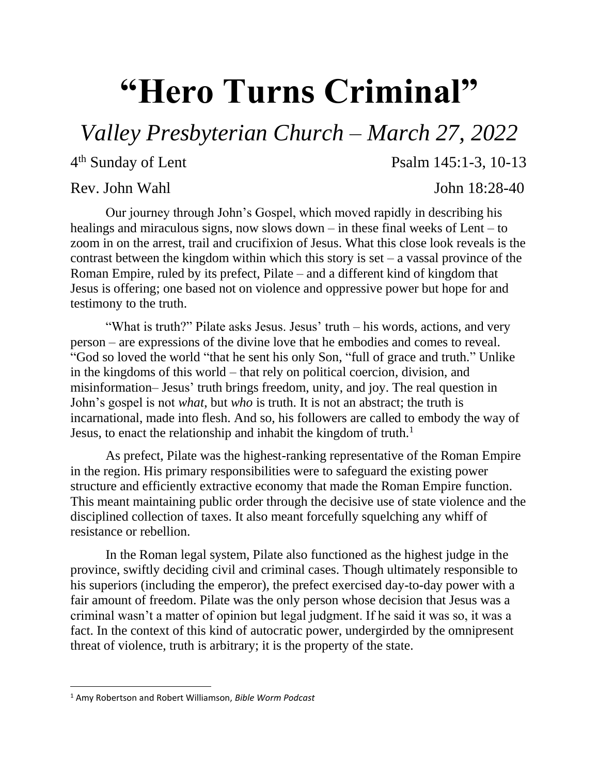## **"Hero Turns Criminal"**

*Valley Presbyterian Church – March 27, 2022*

4<sup>th</sup> Sunday of Lent

## Rev. John Wahl John 18:28-40

Psalm 145:1-3, 10-13

Our journey through John's Gospel, which moved rapidly in describing his healings and miraculous signs, now slows down – in these final weeks of Lent – to zoom in on the arrest, trail and crucifixion of Jesus. What this close look reveals is the contrast between the kingdom within which this story is set  $-$  a vassal province of the Roman Empire, ruled by its prefect, Pilate – and a different kind of kingdom that Jesus is offering; one based not on violence and oppressive power but hope for and testimony to the truth.

"What is truth?" Pilate asks Jesus. Jesus' truth – his words, actions, and very person – are expressions of the divine love that he embodies and comes to reveal. "God so loved the world "that he sent his only Son, "full of grace and truth." Unlike in the kingdoms of this world – that rely on political coercion, division, and misinformation– Jesus' truth brings freedom, unity, and joy. The real question in John's gospel is not *what*, but *who* is truth. It is not an abstract; the truth is incarnational, made into flesh. And so, his followers are called to embody the way of Jesus, to enact the relationship and inhabit the kingdom of truth.<sup>1</sup>

As prefect, Pilate was the highest-ranking representative of the Roman Empire in the region. His primary responsibilities were to safeguard the existing power structure and efficiently extractive economy that made the Roman Empire function. This meant maintaining public order through the decisive use of state violence and the disciplined collection of taxes. It also meant forcefully squelching any whiff of resistance or rebellion.

In the Roman legal system, Pilate also functioned as the highest judge in the province, swiftly deciding civil and criminal cases. Though ultimately responsible to his superiors (including the emperor), the prefect exercised day-to-day power with a fair amount of freedom. Pilate was the only person whose decision that Jesus was a criminal wasn't a matter of opinion but legal judgment. If he said it was so, it was a fact. In the context of this kind of autocratic power, undergirded by the omnipresent threat of violence, truth is arbitrary; it is the property of the state.

 $\overline{\phantom{a}}$ 

<sup>1</sup> Amy Robertson and Robert Williamson, *Bible Worm Podcast*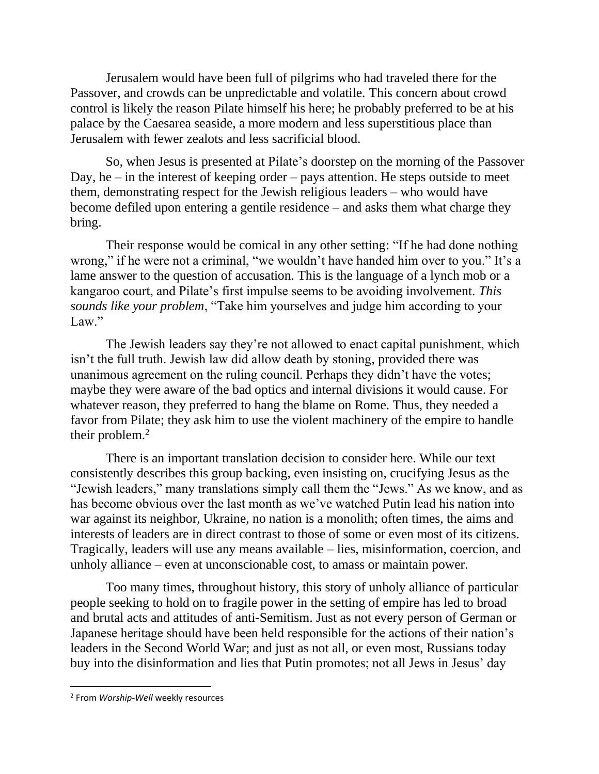Jerusalem would have been full of pilgrims who had traveled there for the Passover, and crowds can be unpredictable and volatile. This concern about crowd control is likely the reason Pilate himself his here; he probably preferred to be at his palace by the Caesarea seaside, a more modern and less superstitious place than Jerusalem with fewer zealots and less sacrificial blood.

So, when Jesus is presented at Pilate's doorstep on the morning of the Passover Day, he – in the interest of keeping order – pays attention. He steps outside to meet them, demonstrating respect for the Jewish religious leaders – who would have become defiled upon entering a gentile residence – and asks them what charge they bring.

Their response would be comical in any other setting: "If he had done nothing wrong," if he were not a criminal, "we wouldn't have handed him over to you." It's a lame answer to the question of accusation. This is the language of a lynch mob or a kangaroo court, and Pilate's first impulse seems to be avoiding involvement. *This sounds like your problem*, "Take him yourselves and judge him according to your Law."

The Jewish leaders say they're not allowed to enact capital punishment, which isn't the full truth. Jewish law did allow death by stoning, provided there was unanimous agreement on the ruling council. Perhaps they didn't have the votes; maybe they were aware of the bad optics and internal divisions it would cause. For whatever reason, they preferred to hang the blame on Rome. Thus, they needed a favor from Pilate; they ask him to use the violent machinery of the empire to handle their problem.<sup>2</sup>

There is an important translation decision to consider here. While our text consistently describes this group backing, even insisting on, crucifying Jesus as the "Jewish leaders," many translations simply call them the "Jews." As we know, and as has become obvious over the last month as we've watched Putin lead his nation into war against its neighbor, Ukraine, no nation is a monolith; often times, the aims and interests of leaders are in direct contrast to those of some or even most of its citizens. Tragically, leaders will use any means available – lies, misinformation, coercion, and unholy alliance – even at unconscionable cost, to amass or maintain power.

Too many times, throughout history, this story of unholy alliance of particular people seeking to hold on to fragile power in the setting of empire has led to broad and brutal acts and attitudes of anti-Semitism. Just as not every person of German or Japanese heritage should have been held responsible for the actions of their nation's leaders in the Second World War; and just as not all, or even most, Russians today buy into the disinformation and lies that Putin promotes; not all Jews in Jesus' day

 $\overline{\phantom{a}}$ 

<sup>2</sup> From *Worship-Well* weekly resources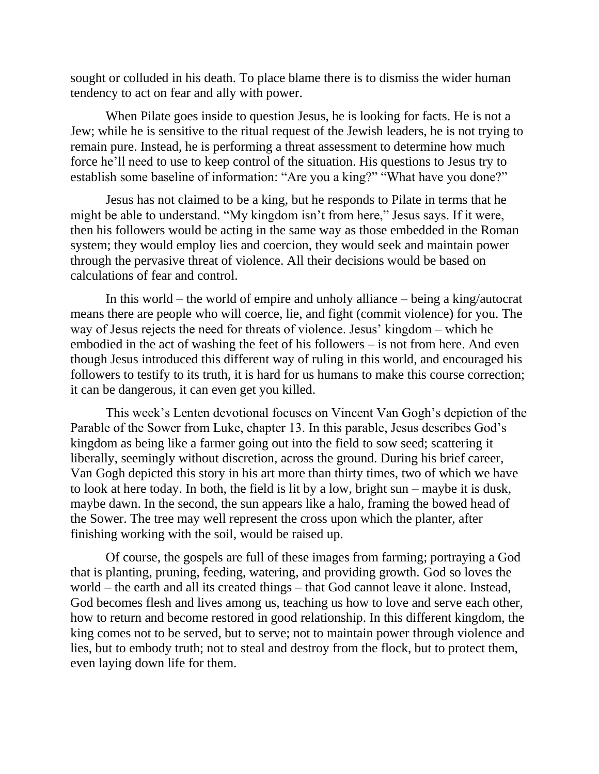sought or colluded in his death. To place blame there is to dismiss the wider human tendency to act on fear and ally with power.

When Pilate goes inside to question Jesus, he is looking for facts. He is not a Jew; while he is sensitive to the ritual request of the Jewish leaders, he is not trying to remain pure. Instead, he is performing a threat assessment to determine how much force he'll need to use to keep control of the situation. His questions to Jesus try to establish some baseline of information: "Are you a king?" "What have you done?"

Jesus has not claimed to be a king, but he responds to Pilate in terms that he might be able to understand. "My kingdom isn't from here," Jesus says. If it were, then his followers would be acting in the same way as those embedded in the Roman system; they would employ lies and coercion, they would seek and maintain power through the pervasive threat of violence. All their decisions would be based on calculations of fear and control.

In this world – the world of empire and unholy alliance – being a king/autocrat means there are people who will coerce, lie, and fight (commit violence) for you. The way of Jesus rejects the need for threats of violence. Jesus' kingdom – which he embodied in the act of washing the feet of his followers – is not from here. And even though Jesus introduced this different way of ruling in this world, and encouraged his followers to testify to its truth, it is hard for us humans to make this course correction; it can be dangerous, it can even get you killed.

This week's Lenten devotional focuses on Vincent Van Gogh's depiction of the Parable of the Sower from Luke, chapter 13. In this parable, Jesus describes God's kingdom as being like a farmer going out into the field to sow seed; scattering it liberally, seemingly without discretion, across the ground. During his brief career, Van Gogh depicted this story in his art more than thirty times, two of which we have to look at here today. In both, the field is lit by a low, bright sun – maybe it is dusk, maybe dawn. In the second, the sun appears like a halo, framing the bowed head of the Sower. The tree may well represent the cross upon which the planter, after finishing working with the soil, would be raised up.

Of course, the gospels are full of these images from farming; portraying a God that is planting, pruning, feeding, watering, and providing growth. God so loves the world – the earth and all its created things – that God cannot leave it alone. Instead, God becomes flesh and lives among us, teaching us how to love and serve each other, how to return and become restored in good relationship. In this different kingdom, the king comes not to be served, but to serve; not to maintain power through violence and lies, but to embody truth; not to steal and destroy from the flock, but to protect them, even laying down life for them.